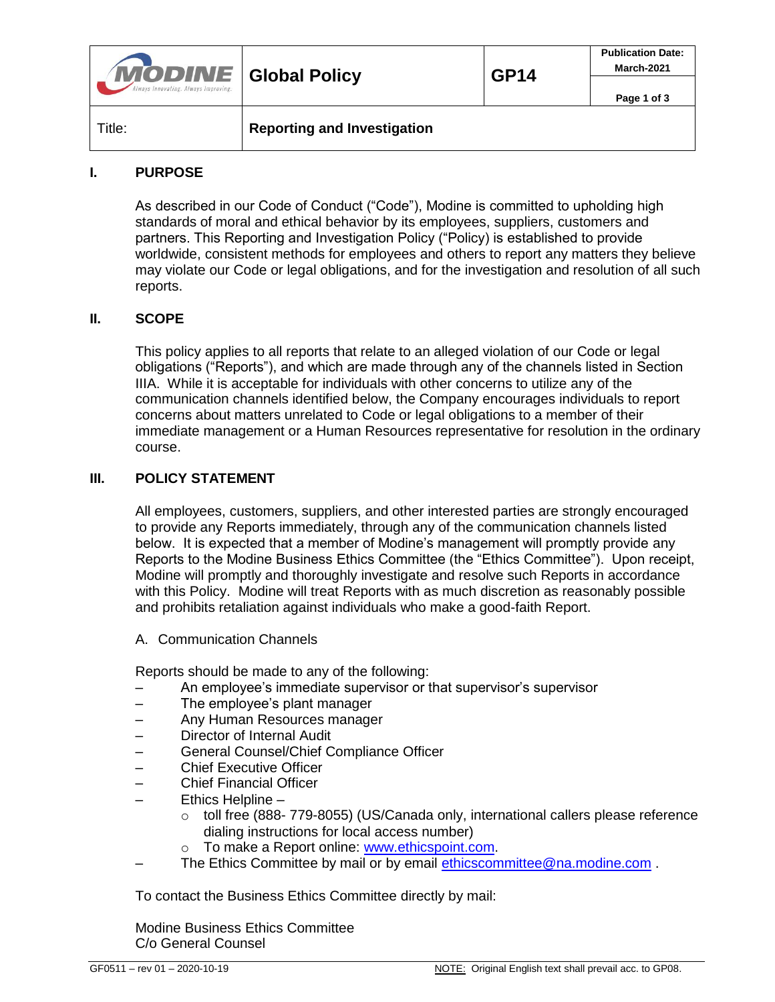| <b>MODINE</b> Global Policy<br>Always Innovating. Always Improving. |                                    | <b>GP14</b> | <b>Publication Date:</b><br>March-2021 |
|---------------------------------------------------------------------|------------------------------------|-------------|----------------------------------------|
|                                                                     |                                    |             | Page 1 of 3                            |
| Title:                                                              | <b>Reporting and Investigation</b> |             |                                        |

#### **I. PURPOSE**

As described in our Code of Conduct ("Code"), Modine is committed to upholding high standards of moral and ethical behavior by its employees, suppliers, customers and partners. This Reporting and Investigation Policy ("Policy) is established to provide worldwide, consistent methods for employees and others to report any matters they believe may violate our Code or legal obligations, and for the investigation and resolution of all such reports.

#### **II. SCOPE**

This policy applies to all reports that relate to an alleged violation of our Code or legal obligations ("Reports"), and which are made through any of the channels listed in Section IIIA. While it is acceptable for individuals with other concerns to utilize any of the communication channels identified below, the Company encourages individuals to report concerns about matters unrelated to Code or legal obligations to a member of their immediate management or a Human Resources representative for resolution in the ordinary course.

#### **III. POLICY STATEMENT**

All employees, customers, suppliers, and other interested parties are strongly encouraged to provide any Reports immediately, through any of the communication channels listed below. It is expected that a member of Modine's management will promptly provide any Reports to the Modine Business Ethics Committee (the "Ethics Committee"). Upon receipt, Modine will promptly and thoroughly investigate and resolve such Reports in accordance with this Policy. Modine will treat Reports with as much discretion as reasonably possible and prohibits retaliation against individuals who make a good-faith Report.

A. Communication Channels

Reports should be made to any of the following:

- An employee's immediate supervisor or that supervisor's supervisor
- The employee's plant manager
- Any Human Resources manager
- Director of Internal Audit
- General Counsel/Chief Compliance Officer
- Chief Executive Officer
- Chief Financial Officer
- Ethics Helpline
	- $\circ$  toll free (888- 779-8055) (US/Canada only, international callers please reference dialing instructions for local access number)
	- o To make a Report online: [www.ethicspoint.com.](http://www.ethicspoint.com/)
- The Ethics Committee by mail or by email [ethicscommittee@na.modine.com](mailto:ethicscommittee@na.modine.com) .

To contact the Business Ethics Committee directly by mail:

Modine Business Ethics Committee C/o General Counsel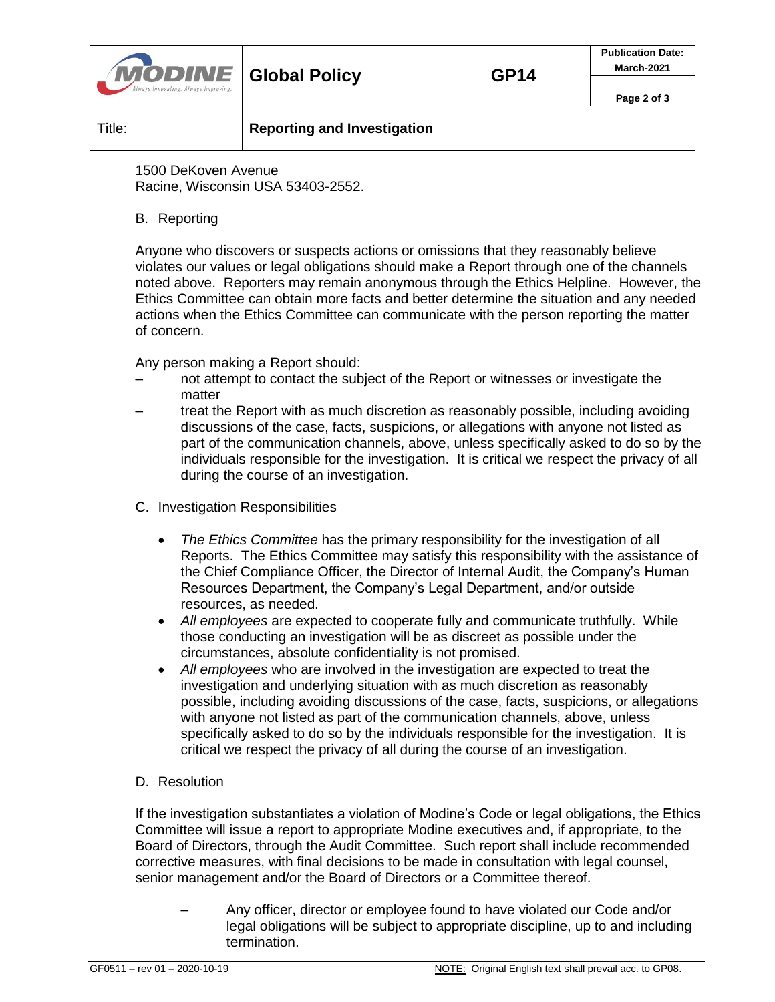| <b>MODINE</b> Global Policy<br>Always Innovating. Always Improving. |                                    | <b>GP14</b> | <b>Publication Date:</b><br>March-2021 |
|---------------------------------------------------------------------|------------------------------------|-------------|----------------------------------------|
|                                                                     |                                    |             | Page 2 of 3                            |
| Title:                                                              | <b>Reporting and Investigation</b> |             |                                        |

1500 DeKoven Avenue Racine, Wisconsin USA 53403-2552.

## B. Reporting

Anyone who discovers or suspects actions or omissions that they reasonably believe violates our values or legal obligations should make a Report through one of the channels noted above. Reporters may remain anonymous through the Ethics Helpline. However, the Ethics Committee can obtain more facts and better determine the situation and any needed actions when the Ethics Committee can communicate with the person reporting the matter of concern.

Any person making a Report should:

- not attempt to contact the subject of the Report or witnesses or investigate the matter
- treat the Report with as much discretion as reasonably possible, including avoiding discussions of the case, facts, suspicions, or allegations with anyone not listed as part of the communication channels, above, unless specifically asked to do so by the individuals responsible for the investigation. It is critical we respect the privacy of all during the course of an investigation.
- C. Investigation Responsibilities
	- *The Ethics Committee* has the primary responsibility for the investigation of all Reports. The Ethics Committee may satisfy this responsibility with the assistance of the Chief Compliance Officer, the Director of Internal Audit, the Company's Human Resources Department, the Company's Legal Department, and/or outside resources, as needed.
	- *All employees* are expected to cooperate fully and communicate truthfully. While those conducting an investigation will be as discreet as possible under the circumstances, absolute confidentiality is not promised.
	- *All employees* who are involved in the investigation are expected to treat the investigation and underlying situation with as much discretion as reasonably possible, including avoiding discussions of the case, facts, suspicions, or allegations with anyone not listed as part of the communication channels, above, unless specifically asked to do so by the individuals responsible for the investigation. It is critical we respect the privacy of all during the course of an investigation.

# D. Resolution

If the investigation substantiates a violation of Modine's Code or legal obligations, the Ethics Committee will issue a report to appropriate Modine executives and, if appropriate, to the Board of Directors, through the Audit Committee. Such report shall include recommended corrective measures, with final decisions to be made in consultation with legal counsel, senior management and/or the Board of Directors or a Committee thereof.

– Any officer, director or employee found to have violated our Code and/or legal obligations will be subject to appropriate discipline, up to and including termination.